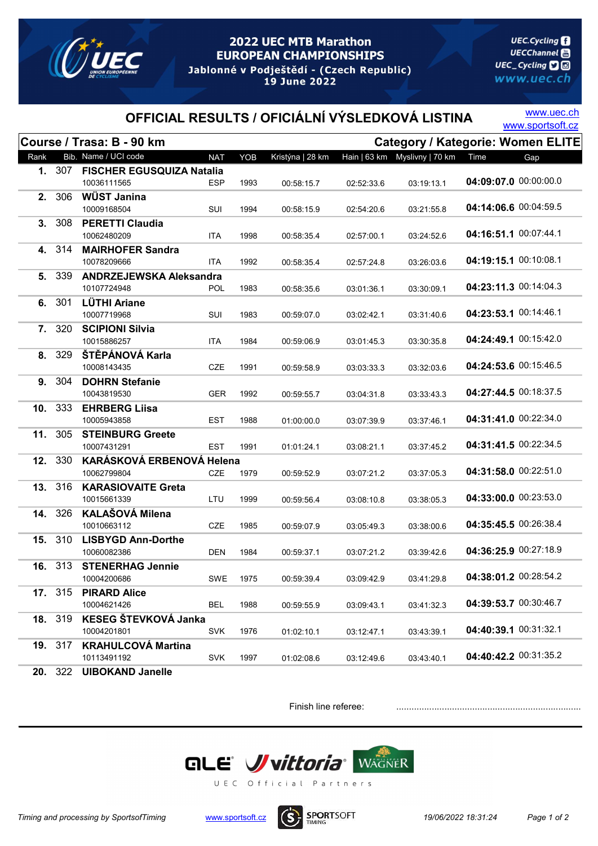

## **2022 UEC MTB Marathon EUROPEAN CHAMPIONSHIPS** Jablonné v Podještědí - (Czech Republic) 19 June 2022

**UEC.Cycling UECChannel** 圖 UEC\_Cycling **D** www.uec.ch

## OFFICIAL RESULTS / OFICIÁLNÍ VÝSLEDKOVÁ LISTINA WWW.sportsoft.cz

www.uec.ch

|      |                | Course / Trasa: B - 90 km                |            |      |                  |            | <b>Category / Kategorie: Women ELITE</b> |                       |                       |
|------|----------------|------------------------------------------|------------|------|------------------|------------|------------------------------------------|-----------------------|-----------------------|
| Rank |                | Bib. Name / UCI code                     | <b>NAT</b> | YOB  | Kristýna   28 km |            | Hain   63 km  Myslivny   70 km           | Time                  | Gap                   |
|      | 1. 307         | <b>FISCHER EGUSQUIZA Natalia</b>         |            |      |                  |            |                                          |                       |                       |
|      |                | 10036111565                              | ESP        | 1993 | 00:58:15.7       | 02:52:33.6 | 03:19:13.1                               | 04:09:07.0 00:00:00.0 |                       |
|      | 2. 306         | WÜST Janina                              |            |      |                  |            |                                          | 04:14:06.6 00:04:59.5 |                       |
|      |                | 10009168504                              | SUI        | 1994 | 00:58:15.9       | 02:54:20.6 | 03:21:55.8                               |                       |                       |
|      | 3. 308         | <b>PERETTI Claudia</b><br>10062480209    | ITA        | 1998 | 00:58:35.4       | 02:57:00.1 | 03:24:52.6                               | 04:16:51.1 00:07:44.1 |                       |
|      | 4. 314         | <b>MAIRHOFER Sandra</b>                  |            |      |                  |            |                                          |                       |                       |
|      |                | 10078209666                              | <b>ITA</b> | 1992 | 00:58:35.4       | 02:57:24.8 | 03:26:03.6                               | 04:19:15.1 00:10:08.1 |                       |
|      | 5. 339         | <b>ANDRZEJEWSKA Aleksandra</b>           |            |      |                  |            |                                          |                       |                       |
|      |                | 10107724948                              | POL        | 1983 | 00:58:35.6       | 03:01:36.1 | 03:30:09.1                               | 04:23:11.3 00:14:04.3 |                       |
|      | 6. 301         | <b>LÜTHI Ariane</b>                      |            |      |                  |            |                                          |                       |                       |
|      |                | 10007719968                              | SUI        | 1983 | 00:59:07.0       | 03:02:42.1 | 03:31:40.6                               | 04:23:53.1 00:14:46.1 |                       |
|      | 7. 320         | <b>SCIPIONI Silvia</b>                   |            |      |                  |            |                                          |                       |                       |
|      |                | 10015886257                              | ITA        | 1984 | 00:59:06.9       | 03:01:45.3 | 03:30:35.8                               | 04:24:49.1 00:15:42.0 |                       |
|      | 8. 329         | ŠTĚPÁNOVÁ Karla<br>10008143435           | <b>CZE</b> |      |                  |            |                                          | 04:24:53.6 00:15:46.5 |                       |
|      | 9. 304         | <b>DOHRN Stefanie</b>                    |            | 1991 | 00:59:58.9       | 03:03:33.3 | 03:32:03.6                               |                       |                       |
|      |                | 10043819530                              | <b>GER</b> | 1992 | 00:59:55.7       | 03:04:31.8 | 03:33:43.3                               | 04:27:44.5 00:18:37.5 |                       |
|      | 10. 333        | <b>EHRBERG Liisa</b>                     |            |      |                  |            |                                          |                       |                       |
|      |                | 10005943858                              | EST        | 1988 | 01:00:00.0       | 03:07:39.9 | 03:37:46.1                               | 04:31:41.0 00:22:34.0 |                       |
|      | 11. 305        | <b>STEINBURG Greete</b>                  |            |      |                  |            |                                          |                       |                       |
|      |                | 10007431291                              | <b>EST</b> | 1991 | 01:01:24.1       | 03:08:21.1 | 03:37:45.2                               | 04:31:41.5 00:22:34.5 |                       |
|      | 12. 330        | KARÁSKOVÁ ERBENOVÁ Helena                |            |      |                  |            |                                          |                       |                       |
|      |                | 10062799804                              | CZE        | 1979 | 00:59:52.9       | 03:07:21.2 | 03:37:05.3                               | 04:31:58.0 00:22:51.0 |                       |
|      | 13. 316        | <b>KARASIOVAITE Greta</b>                |            |      |                  |            |                                          | 04:33:00.0 00:23:53.0 |                       |
|      | 14. 326        | 10015661339<br><b>KALAŠOVÁ Milena</b>    | LTU        | 1999 | 00:59:56.4       | 03:08:10.8 | 03:38:05.3                               |                       |                       |
|      |                | 10010663112                              | CZE        | 1985 | 00:59:07.9       | 03 05:49.3 | 03:38:00.6                               | 04:35:45.5 00:26:38.4 |                       |
| 15.  | 310            | <b>LISBYGD Ann-Dorthe</b>                |            |      |                  |            |                                          |                       |                       |
|      |                | 10060082386                              | <b>DEN</b> | 1984 | 00:59:37.1       | 03:07:21.2 | 03:39:42.6                               | 04:36:25.9 00:27:18.9 |                       |
|      | 16. 313        | <b>STENERHAG Jennie</b>                  |            |      |                  |            |                                          |                       |                       |
|      |                | 10004200686                              | SWE        | 1975 | 00:59:39.4       | 03:09:42.9 | 03:41:29.8                               | 04:38:01.2 00:28:54.2 |                       |
|      | <b>17.</b> 315 | <b>PIRARD Alice</b>                      |            |      |                  |            |                                          |                       |                       |
|      |                | 10004621426                              | <b>BEL</b> | 1988 | 00:59:55.9       | 03:09:43.1 | 03:41:32.3                               | 04:39:53.7 00:30:46.7 |                       |
|      | 18. 319        | KESEG ŠTEVKOVÁ Janka                     |            |      |                  |            |                                          |                       |                       |
|      |                | 10004201801                              | <b>SVK</b> | 1976 | 01:02:10.1       | 03:12:47.1 | 03:43:39.1                               | 04:40:39.1 00:31:32.1 |                       |
|      | 19. 317        | <b>KRAHULCOVÁ Martina</b><br>10113491192 | <b>SVK</b> | 1997 |                  |            |                                          |                       | 04:40:42.2 00:31:35.2 |
|      | <b>20.</b> 322 | <b>UIBOKAND Janelle</b>                  |            |      | 01:02:08.6       | 03:12:49.6 | 03:43:40.1                               |                       |                       |
|      |                |                                          |            |      |                  |            |                                          |                       |                       |

Finish line referee:



Timing and processing by SportsofTiming www.sportsoft.cz **19/06/2022 18:31:24** Page 1 of 2